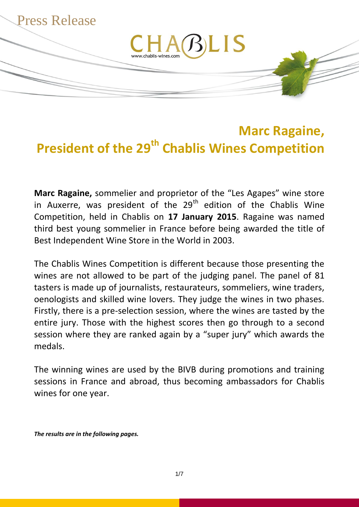

# **Marc Ragaine, President of the 29th Chablis Wines Competition**

**Marc Ragaine,** sommelier and proprietor of the "Les Agapes" wine store in Auxerre, was president of the  $29<sup>th</sup>$  edition of the Chablis Wine Competition, held in Chablis on **17 January 2015**. Ragaine was named third best young sommelier in France before being awarded the title of Best Independent Wine Store in the World in 2003.

The Chablis Wines Competition is different because those presenting the wines are not allowed to be part of the judging panel. The panel of 81 tasters is made up of journalists, restaurateurs, sommeliers, wine traders, oenologists and skilled wine lovers. They judge the wines in two phases. Firstly, there is a pre-selection session, where the wines are tasted by the entire jury. Those with the highest scores then go through to a second session where they are ranked again by a "super jury" which awards the medals.

The winning wines are used by the BIVB during promotions and training sessions in France and abroad, thus becoming ambassadors for Chablis wines for one year.

*The results are in the following pages.*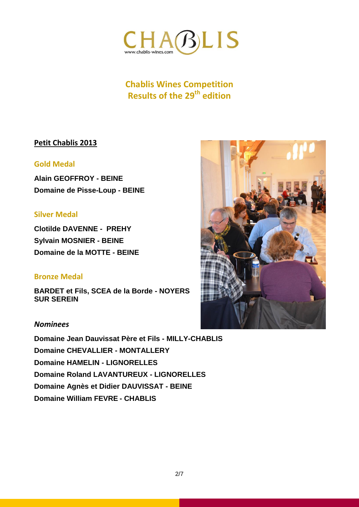

#### **Petit Chablis 2013**

#### **Gold Medal**

**Alain GEOFFROY - BEINE Domaine de Pisse-Loup - BEINE**

#### **Silver Medal**

**Clotilde DAVENNE - PREHY Sylvain MOSNIER - BEINE Domaine de la MOTTE - BEINE**

#### **Bronze Medal**

**BARDET et Fils, SCEA de la Borde - NOYERS SUR SEREIN**

#### *Nominees*

**Domaine Jean Dauvissat Père et Fils - MILLY-CHABLIS Domaine CHEVALLIER - MONTALLERY Domaine HAMELIN - LIGNORELLES Domaine Roland LAVANTUREUX - LIGNORELLES Domaine Agnès et Didier DAUVISSAT - BEINE Domaine William FEVRE - CHABLIS**

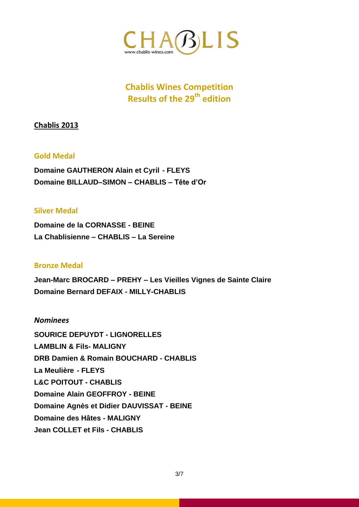

#### **Chablis 2013**

#### **Gold Medal**

**Domaine GAUTHERON Alain et Cyril - FLEYS Domaine BILLAUD–SIMON – CHABLIS – Tête d'Or**

#### **Silver Medal**

**Domaine de la CORNASSE - BEINE La Chablisienne – CHABLIS – La Sereine**

#### **Bronze Medal**

**Jean-Marc BROCARD – PREHY – Les Vieilles Vignes de Sainte Claire Domaine Bernard DEFAIX - MILLY-CHABLIS** 

#### *Nominees*

**SOURICE DEPUYDT - LIGNORELLES LAMBLIN & Fils- MALIGNY DRB Damien & Romain BOUCHARD - CHABLIS La Meulière - FLEYS L&C POITOUT - CHABLIS Domaine Alain GEOFFROY - BEINE Domaine Agnès et Didier DAUVISSAT - BEINE Domaine des Hâtes - MALIGNY Jean COLLET et Fils - CHABLIS**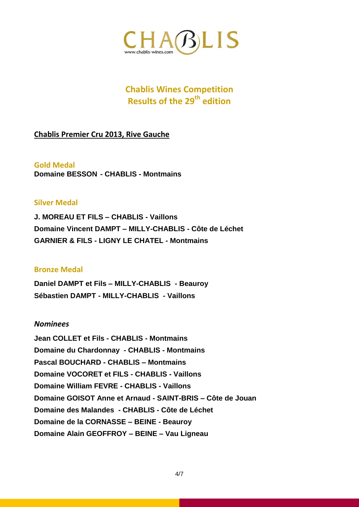

**Chablis Premier Cru 2013, Rive Gauche**

**Gold Medal Domaine BESSON - CHABLIS - Montmains**

#### **Silver Medal**

**J. MOREAU ET FILS – CHABLIS - Vaillons Domaine Vincent DAMPT – MILLY-CHABLIS - Côte de Léchet GARNIER & FILS - LIGNY LE CHATEL - Montmains**

#### **Bronze Medal**

**Daniel DAMPT et Fils – MILLY-CHABLIS - Beauroy Sébastien DAMPT - MILLY-CHABLIS - Vaillons**

#### *Nominees*

**Jean COLLET et Fils - CHABLIS - Montmains Domaine du Chardonnay - CHABLIS - Montmains Pascal BOUCHARD - CHABLIS – Montmains Domaine VOCORET et FILS - CHABLIS - Vaillons Domaine William FEVRE - CHABLIS - Vaillons Domaine GOISOT Anne et Arnaud - SAINT-BRIS – Côte de Jouan Domaine des Malandes - CHABLIS - Côte de Léchet Domaine de la CORNASSE – BEINE - Beauroy Domaine Alain GEOFFROY – BEINE – Vau Ligneau**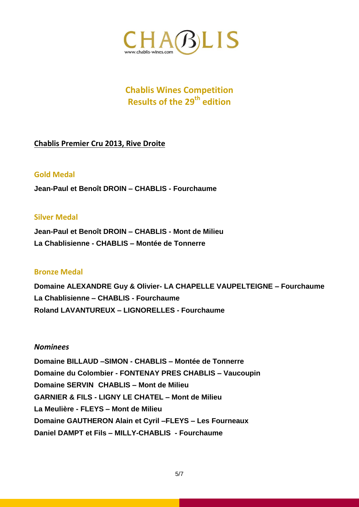

#### **Chablis Premier Cru 2013, Rive Droite**

#### **Gold Medal**

**Jean-Paul et Benoît DROIN – CHABLIS - Fourchaume**

#### **Silver Medal**

**Jean-Paul et Benoît DROIN – CHABLIS - Mont de Milieu La Chablisienne - CHABLIS – Montée de Tonnerre**

#### **Bronze Medal**

**Domaine ALEXANDRE Guy & Olivier- LA CHAPELLE VAUPELTEIGNE – Fourchaume La Chablisienne – CHABLIS - Fourchaume Roland LAVANTUREUX – LIGNORELLES - Fourchaume**

#### *Nominees*

**Domaine BILLAUD –SIMON - CHABLIS – Montée de Tonnerre Domaine du Colombier - FONTENAY PRES CHABLIS – Vaucoupin Domaine SERVIN CHABLIS – Mont de Milieu GARNIER & FILS - LIGNY LE CHATEL – Mont de Milieu La Meulière - FLEYS – Mont de Milieu Domaine GAUTHERON Alain et Cyril –FLEYS – Les Fourneaux Daniel DAMPT et Fils – MILLY-CHABLIS - Fourchaume**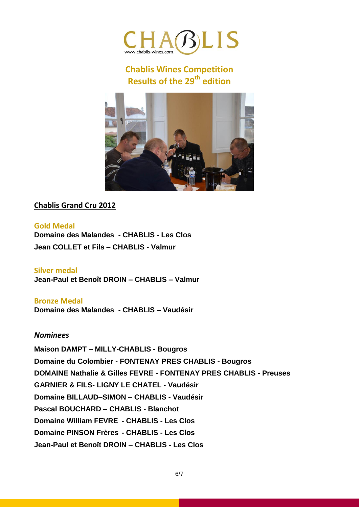



### **Chablis Grand Cru 2012**

**Gold Medal Domaine des Malandes - CHABLIS - Les Clos Jean COLLET et Fils – CHABLIS - Valmur**

**Silver medal Jean-Paul et Benoît DROIN – CHABLIS – Valmur**

**Bronze Medal**

**Domaine des Malandes - CHABLIS – Vaudésir**

#### *Nominees*

**Maison DAMPT – MILLY-CHABLIS - Bougros Domaine du Colombier - FONTENAY PRES CHABLIS - Bougros DOMAINE Nathalie & Gilles FEVRE - FONTENAY PRES CHABLIS - Preuses GARNIER & FILS- LIGNY LE CHATEL - Vaudésir Domaine BILLAUD–SIMON – CHABLIS - Vaudésir Pascal BOUCHARD – CHABLIS - Blanchot Domaine William FEVRE - CHABLIS - Les Clos Domaine PINSON Frères - CHABLIS - Les Clos Jean-Paul et Benoît DROIN – CHABLIS - Les Clos**